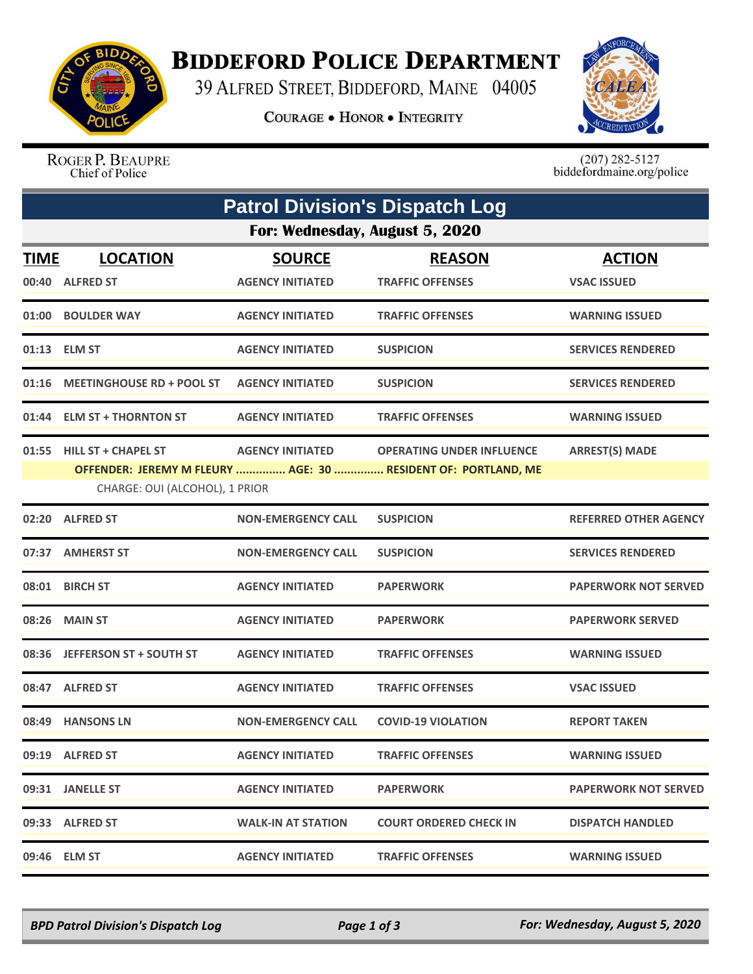

## **BIDDEFORD POLICE DEPARTMENT**

39 ALFRED STREET, BIDDEFORD, MAINE 04005

**COURAGE . HONOR . INTEGRITY** 



ROGER P. BEAUPRE Chief of Police

 $(207)$  282-5127<br>biddefordmaine.org/police

| <b>Patrol Division's Dispatch Log</b> |                                  |                           |                                                               |                              |  |  |  |
|---------------------------------------|----------------------------------|---------------------------|---------------------------------------------------------------|------------------------------|--|--|--|
| For: Wednesday, August 5, 2020        |                                  |                           |                                                               |                              |  |  |  |
| <b>TIME</b>                           | <b>LOCATION</b>                  | <b>SOURCE</b>             | <b>REASON</b>                                                 | <b>ACTION</b>                |  |  |  |
|                                       | 00:40 ALFRED ST                  | <b>AGENCY INITIATED</b>   | <b>TRAFFIC OFFENSES</b>                                       | <b>VSAC ISSUED</b>           |  |  |  |
|                                       | 01:00 BOULDER WAY                | <b>AGENCY INITIATED</b>   | <b>TRAFFIC OFFENSES</b>                                       | <b>WARNING ISSUED</b>        |  |  |  |
|                                       | 01:13 ELM ST                     | <b>AGENCY INITIATED</b>   | <b>SUSPICION</b>                                              | <b>SERVICES RENDERED</b>     |  |  |  |
| 01:16                                 | <b>MEETINGHOUSE RD + POOL ST</b> | <b>AGENCY INITIATED</b>   | <b>SUSPICION</b>                                              | <b>SERVICES RENDERED</b>     |  |  |  |
|                                       | 01:44 ELM ST + THORNTON ST       | <b>AGENCY INITIATED</b>   | <b>TRAFFIC OFFENSES</b>                                       | <b>WARNING ISSUED</b>        |  |  |  |
|                                       | 01:55 HILL ST + CHAPEL ST        | <b>AGENCY INITIATED</b>   | <b>OPERATING UNDER INFLUENCE</b>                              | <b>ARREST(S) MADE</b>        |  |  |  |
|                                       |                                  |                           | OFFENDER: JEREMY M FLEURY  AGE: 30  RESIDENT OF: PORTLAND, ME |                              |  |  |  |
|                                       | CHARGE: OUI (ALCOHOL), 1 PRIOR   |                           |                                                               |                              |  |  |  |
| 02:20                                 | <b>ALFRED ST</b>                 | <b>NON-EMERGENCY CALL</b> | <b>SUSPICION</b>                                              | <b>REFERRED OTHER AGENCY</b> |  |  |  |
|                                       | 07:37 AMHERST ST                 | <b>NON-EMERGENCY CALL</b> | <b>SUSPICION</b>                                              | <b>SERVICES RENDERED</b>     |  |  |  |
|                                       | 08:01 BIRCH ST                   | <b>AGENCY INITIATED</b>   | <b>PAPERWORK</b>                                              | <b>PAPERWORK NOT SERVED</b>  |  |  |  |
| 08:26                                 | <b>MAIN ST</b>                   | <b>AGENCY INITIATED</b>   | <b>PAPERWORK</b>                                              | <b>PAPERWORK SERVED</b>      |  |  |  |
|                                       | 08:36 JEFFERSON ST + SOUTH ST    | <b>AGENCY INITIATED</b>   | <b>TRAFFIC OFFENSES</b>                                       | <b>WARNING ISSUED</b>        |  |  |  |
|                                       | 08:47 ALFRED ST                  | <b>AGENCY INITIATED</b>   | <b>TRAFFIC OFFENSES</b>                                       | <b>VSAC ISSUED</b>           |  |  |  |
| 08:49                                 | <b>HANSONS LN</b>                | <b>NON-EMERGENCY CALL</b> | <b>COVID-19 VIOLATION</b>                                     | <b>REPORT TAKEN</b>          |  |  |  |
|                                       | 09:19 ALFRED ST                  | <b>AGENCY INITIATED</b>   | <b>TRAFFIC OFFENSES</b>                                       | <b>WARNING ISSUED</b>        |  |  |  |
|                                       | 09:31 JANELLE ST                 | <b>AGENCY INITIATED</b>   | <b>PAPERWORK</b>                                              | <b>PAPERWORK NOT SERVED</b>  |  |  |  |
|                                       | 09:33 ALFRED ST                  | <b>WALK-IN AT STATION</b> | <b>COURT ORDERED CHECK IN</b>                                 | <b>DISPATCH HANDLED</b>      |  |  |  |
|                                       | 09:46 ELM ST                     | <b>AGENCY INITIATED</b>   | <b>TRAFFIC OFFENSES</b>                                       | <b>WARNING ISSUED</b>        |  |  |  |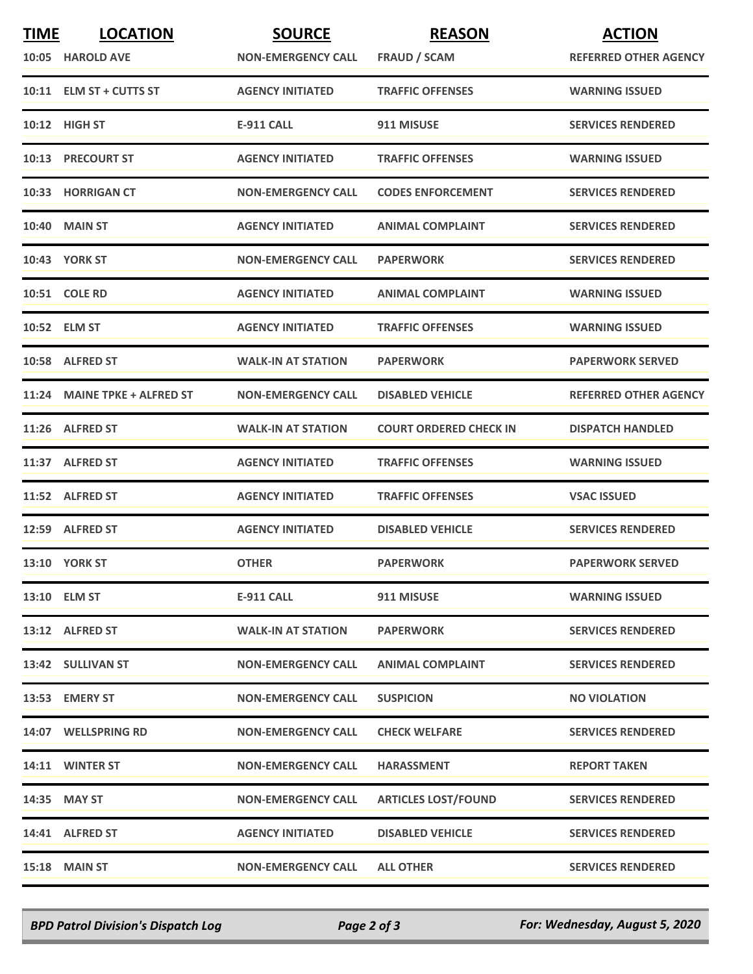| <b>TIME</b> | <b>LOCATION</b>              | <b>SOURCE</b>             | <b>REASON</b>                 | <b>ACTION</b>                |
|-------------|------------------------------|---------------------------|-------------------------------|------------------------------|
|             | 10:05 HAROLD AVE             | <b>NON-EMERGENCY CALL</b> | <b>FRAUD / SCAM</b>           | <b>REFERRED OTHER AGENCY</b> |
|             | 10:11 ELM ST + CUTTS ST      | <b>AGENCY INITIATED</b>   | <b>TRAFFIC OFFENSES</b>       | <b>WARNING ISSUED</b>        |
|             | 10:12 HIGH ST                | <b>E-911 CALL</b>         | 911 MISUSE                    | <b>SERVICES RENDERED</b>     |
|             | 10:13 PRECOURT ST            | <b>AGENCY INITIATED</b>   | <b>TRAFFIC OFFENSES</b>       | <b>WARNING ISSUED</b>        |
|             | 10:33 HORRIGAN CT            | <b>NON-EMERGENCY CALL</b> | <b>CODES ENFORCEMENT</b>      | <b>SERVICES RENDERED</b>     |
|             | <b>10:40 MAIN ST</b>         | <b>AGENCY INITIATED</b>   | <b>ANIMAL COMPLAINT</b>       | <b>SERVICES RENDERED</b>     |
|             | 10:43 YORK ST                | <b>NON-EMERGENCY CALL</b> | <b>PAPERWORK</b>              | <b>SERVICES RENDERED</b>     |
|             | <b>10:51 COLE RD</b>         | <b>AGENCY INITIATED</b>   | <b>ANIMAL COMPLAINT</b>       | <b>WARNING ISSUED</b>        |
|             | 10:52 ELM ST                 | <b>AGENCY INITIATED</b>   | <b>TRAFFIC OFFENSES</b>       | <b>WARNING ISSUED</b>        |
|             | 10:58 ALFRED ST              | <b>WALK-IN AT STATION</b> | <b>PAPERWORK</b>              | <b>PAPERWORK SERVED</b>      |
|             | 11:24 MAINE TPKE + ALFRED ST | <b>NON-EMERGENCY CALL</b> | <b>DISABLED VEHICLE</b>       | <b>REFERRED OTHER AGENCY</b> |
|             | 11:26 ALFRED ST              | <b>WALK-IN AT STATION</b> | <b>COURT ORDERED CHECK IN</b> | <b>DISPATCH HANDLED</b>      |
|             | 11:37 ALFRED ST              | <b>AGENCY INITIATED</b>   | <b>TRAFFIC OFFENSES</b>       | <b>WARNING ISSUED</b>        |
|             | 11:52 ALFRED ST              | <b>AGENCY INITIATED</b>   | <b>TRAFFIC OFFENSES</b>       | <b>VSAC ISSUED</b>           |
|             | 12:59 ALFRED ST              | <b>AGENCY INITIATED</b>   | <b>DISABLED VEHICLE</b>       | <b>SERVICES RENDERED</b>     |
|             | <b>13:10 YORK ST</b>         | <b>OTHER</b>              | <b>PAPERWORK</b>              | <b>PAPERWORK SERVED</b>      |
|             | 13:10 ELM ST                 | E-911 CALL                | 911 MISUSE                    | <b>WARNING ISSUED</b>        |
|             | 13:12 ALFRED ST              | <b>WALK-IN AT STATION</b> | <b>PAPERWORK</b>              | <b>SERVICES RENDERED</b>     |
|             | 13:42 SULLIVAN ST            | <b>NON-EMERGENCY CALL</b> | <b>ANIMAL COMPLAINT</b>       | <b>SERVICES RENDERED</b>     |
|             | 13:53 EMERY ST               | <b>NON-EMERGENCY CALL</b> | <b>SUSPICION</b>              | <b>NO VIOLATION</b>          |
|             | 14:07 WELLSPRING RD          | <b>NON-EMERGENCY CALL</b> | <b>CHECK WELFARE</b>          | <b>SERVICES RENDERED</b>     |
|             | 14:11 WINTER ST              | <b>NON-EMERGENCY CALL</b> | <b>HARASSMENT</b>             | <b>REPORT TAKEN</b>          |
|             | 14:35 MAY ST                 | <b>NON-EMERGENCY CALL</b> | <b>ARTICLES LOST/FOUND</b>    | <b>SERVICES RENDERED</b>     |
|             | 14:41 ALFRED ST              | <b>AGENCY INITIATED</b>   | <b>DISABLED VEHICLE</b>       | <b>SERVICES RENDERED</b>     |
|             | 15:18 MAIN ST                | <b>NON-EMERGENCY CALL</b> | <b>ALL OTHER</b>              | <b>SERVICES RENDERED</b>     |

*BPD Patrol Division's Dispatch Log Page 2 of 3 For: Wednesday, August 5, 2020*